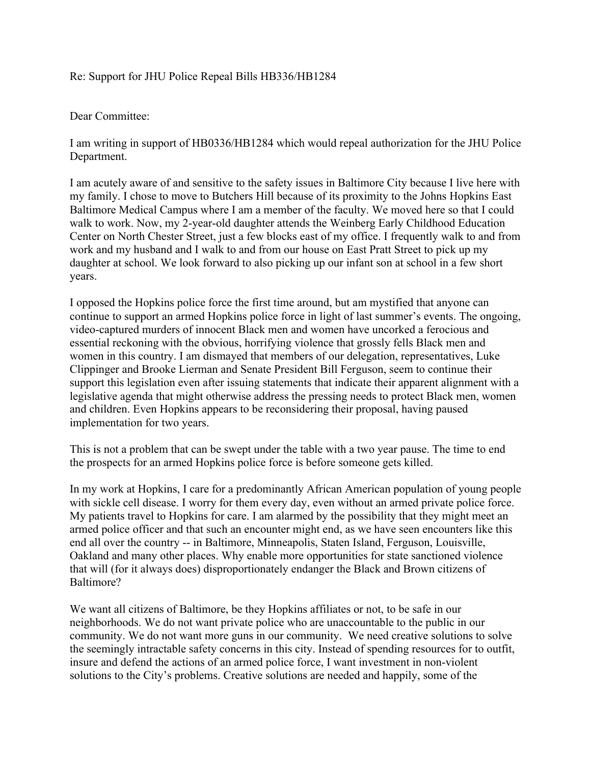## Re: Support for JHU Police Repeal Bills HB336/HB1284

## Dear Committee:

I am writing in support of HB0336/HB1284 which would repeal authorization for the JHU Police Department.

I am acutely aware of and sensitive to the safety issues in Baltimore City because I live here with my family. I chose to move to Butchers Hill because of its proximity to the Johns Hopkins East Baltimore Medical Campus where I am a member of the faculty. We moved here so that I could walk to work. Now, my 2-year-old daughter attends the Weinberg Early Childhood Education Center on North Chester Street, just a few blocks east of my office. I frequently walk to and from work and my husband and I walk to and from our house on East Pratt Street to pick up my daughter at school. We look forward to also picking up our infant son at school in a few short years.

I opposed the Hopkins police force the first time around, but am mystified that anyone can continue to support an armed Hopkins police force in light of last summer's events. The ongoing, video-captured murders of innocent Black men and women have uncorked a ferocious and essential reckoning with the obvious, horrifying violence that grossly fells Black men and women in this country. I am dismayed that members of our delegation, representatives, Luke Clippinger and Brooke Lierman and Senate President Bill Ferguson, seem to continue their support this legislation even after issuing statements that indicate their apparent alignment with a legislative agenda that might otherwise address the pressing needs to protect Black men, women and children. Even Hopkins appears to be reconsidering their proposal, having paused implementation for two years.

This is not a problem that can be swept under the table with a two year pause. The time to end the prospects for an armed Hopkins police force is before someone gets killed.

In my work at Hopkins, I care for a predominantly African American population of young people with sickle cell disease. I worry for them every day, even without an armed private police force. My patients travel to Hopkins for care. I am alarmed by the possibility that they might meet an armed police officer and that such an encounter might end, as we have seen encounters like this end all over the country -- in Baltimore, Minneapolis, Staten Island, Ferguson, Louisville, Oakland and many other places. Why enable more opportunities for state sanctioned violence that will (for it always does) disproportionately endanger the Black and Brown citizens of Baltimore?

We want all citizens of Baltimore, be they Hopkins affiliates or not, to be safe in our neighborhoods. We do not want private police who are unaccountable to the public in our community. We do not want more guns in our community. We need creative solutions to solve the seemingly intractable safety concerns in this city. Instead of spending resources for to outfit, insure and defend the actions of an armed police force, I want investment in non-violent solutions to the City's problems. Creative solutions are needed and happily, some of the